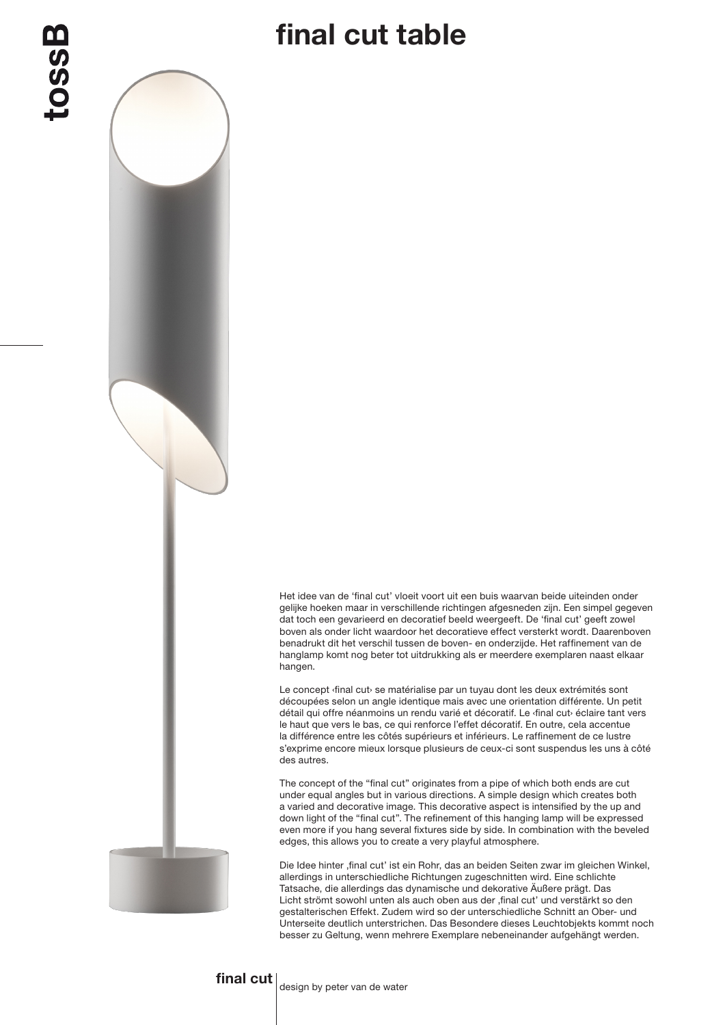## final cut table

Het idee van de 'final cut' vloeit voort uit een buis waarvan beide uiteinden onder gelijke hoeken maar in verschillende richtingen afgesneden zijn. Een simpel gegeven dat toch een gevarieerd en decoratief beeld weergeeft. De 'final cut' geeft zowel boven als onder licht waardoor het decoratieve effect versterkt wordt. Daarenboven benadrukt dit het verschil tussen de boven- en onderzijde. Het raffinement van de hanglamp komt nog beter tot uitdrukking als er meerdere exemplaren naast elkaar hangen.

Le concept *{final cut}* se matérialise par un tuyau dont les deux extrémités sont découpées selon un angle identique mais avec une orientation différente. Un petit détail qui offre néanmoins un rendu varié et décoratif. Le ‹final cut› éclaire tant vers le haut que vers le bas, ce qui renforce l'effet décoratif. En outre, cela accentue la différence entre les côtés supérieurs et inférieurs. Le raffinement de ce lustre s'exprime encore mieux lorsque plusieurs de ceux-ci sont suspendus les uns à côté des autres.

The concept of the "final cut" originates from a pipe of which both ends are cut under equal angles but in various directions. A simple design which creates both a varied and decorative image. This decorative aspect is intensified by the up and down light of the "final cut". The refinement of this hanging lamp will be expressed even more if you hang several fixtures side by side. In combination with the beveled edges, this allows you to create a very playful atmosphere.

Die Idee hinter ,final cut' ist ein Rohr, das an beiden Seiten zwar im gleichen Winkel, allerdings in unterschiedliche Richtungen zugeschnitten wird. Eine schlichte Tatsache, die allerdings das dynamische und dekorative Äußere prägt. Das Licht strömt sowohl unten als auch oben aus der , final cut' und verstärkt so den gestalterischen Effekt. Zudem wird so der unterschiedliche Schnitt an Ober- und Unterseite deutlich unterstrichen. Das Besondere dieses Leuchtobjekts kommt noch besser zu Geltung, wenn mehrere Exemplare nebeneinander aufgehängt werden.